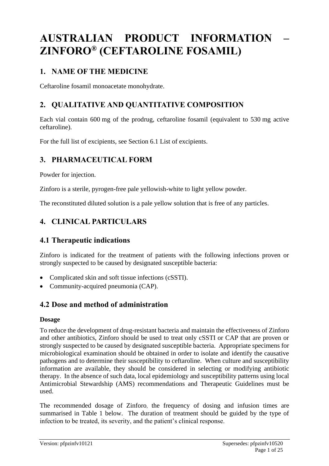# **AUSTRALIAN PRODUCT INFORMATION – ZINFORO® (CEFTAROLINE FOSAMIL)**

## **1. NAME OF THE MEDICINE**

Ceftaroline fosamil monoacetate monohydrate.

## **2. QUALITATIVE AND QUANTITATIVE COMPOSITION**

Each vial contain 600 mg of the prodrug, ceftaroline fosamil (equivalent to 530 mg active ceftaroline).

For the full list of excipients, see Section 6.1 List of excipients.

## **3. PHARMACEUTICAL FORM**

Powder for injection.

Zinforo is a sterile, pyrogen-free pale yellowish-white to light yellow powder.

The reconstituted diluted solution is a pale yellow solution that is free of any particles.

## **4. CLINICAL PARTICULARS**

## **4.1 Therapeutic indications**

Zinforo is indicated for the treatment of patients with the following infections proven or strongly suspected to be caused by designated susceptible bacteria:

- Complicated skin and soft tissue infections (cSSTI).
- Community-acquired pneumonia (CAP).

## **4.2 Dose and method of administration**

## **Dosage**

To reduce the development of drug-resistant bacteria and maintain the effectiveness of Zinforo and other antibiotics, Zinforo should be used to treat only cSSTI or CAP that are proven or strongly suspected to be caused by designated susceptible bacteria. Appropriate specimens for microbiological examination should be obtained in order to isolate and identify the causative pathogens and to determine their susceptibility to ceftaroline. When culture and susceptibility information are available, they should be considered in selecting or modifying antibiotic therapy. In the absence of such data, local epidemiology and susceptibility patterns using local Antimicrobial Stewardship (AMS) recommendations and Therapeutic Guidelines must be used.

The recommended dosage of Zinforo, the frequency of dosing and infusion times are summarised in Table 1 below. The duration of treatment should be guided by the type of infection to be treated, its severity, and the patient's clinical response.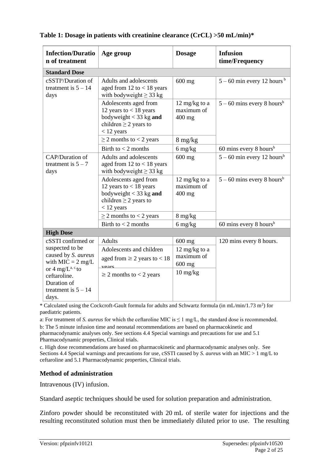| <b>Infection/Duratio</b><br>n of treatment                                                      | Age group                                                                                                                   | <b>Dosage</b>                                                                                 | <b>Infusion</b><br>time/Frequency        |  |
|-------------------------------------------------------------------------------------------------|-----------------------------------------------------------------------------------------------------------------------------|-----------------------------------------------------------------------------------------------|------------------------------------------|--|
| <b>Standard Dose</b>                                                                            |                                                                                                                             |                                                                                               |                                          |  |
| cSSTI <sup>a</sup> /Duration of<br>treatment is $5 - 14$<br>days                                | Adults and adolescents<br>aged from $12$ to $< 18$ years<br>with bodyweight $\geq$ 33 kg                                    | $600$ mg                                                                                      | $5 - 60$ min every 12 hours <sup>b</sup> |  |
|                                                                                                 | Adolescents aged from<br>12 years to $<$ 18 years<br>bodyweight $<$ 33 kg and<br>children $\geq$ 2 years to<br>$<$ 12 years | 12 mg/kg to a<br>maximum of<br>$400$ mg                                                       | $5 - 60$ mins every 8 hours <sup>b</sup> |  |
|                                                                                                 | $\geq$ 2 months to < 2 years                                                                                                | $8 \text{ mg/kg}$                                                                             |                                          |  |
|                                                                                                 | Birth to $<$ 2 months                                                                                                       | $6 \frac{\text{mg}}{\text{kg}}$                                                               | 60 mins every 8 hours <sup>b</sup>       |  |
| CAP/Duration of<br>treatment is $5 - 7$<br>days                                                 | Adults and adolescents<br>aged from $12$ to $< 18$ years<br>with bodyweight $\geq$ 33 kg                                    | $600$ mg                                                                                      | $5 - 60$ min every 12 hours <sup>b</sup> |  |
|                                                                                                 | Adolescents aged from<br>12 years to $<$ 18 years<br>bodyweight $<$ 33 kg and<br>children $\geq$ 2 years to<br>$<$ 12 years | $5 - 60$ mins every 8 hours <sup>b</sup><br>$12 \text{ mg/kg}$ to a<br>maximum of<br>$400$ mg |                                          |  |
|                                                                                                 | $\geq$ 2 months to < 2 years                                                                                                | 8 mg/kg                                                                                       |                                          |  |
|                                                                                                 | Birth to $<$ 2 months                                                                                                       | $6 \frac{\text{mg}}{\text{kg}}$                                                               | 60 mins every 8 hours <sup>b</sup>       |  |
| <b>High Dose</b>                                                                                |                                                                                                                             |                                                                                               |                                          |  |
| cSSTI confirmed or                                                                              | <b>Adults</b>                                                                                                               | 600 mg                                                                                        | 120 mins every 8 hours.                  |  |
| suspected to be<br>caused by S. aureus<br>with $MIC = 2 mg/L$                                   | Adolescents and children<br>aged from $\geq 2$ years to < 18<br>VPA1                                                        | 12 mg/kg to a<br>maximum of<br>600 mg                                                         |                                          |  |
| or $4 \text{ mg/L}^{a, c.}$ to<br>ceftaroline.<br>Duration of<br>treatment is $5 - 14$<br>days. | $\geq$ 2 months to < 2 years                                                                                                | $10 \frac{\text{mg}}{\text{kg}}$                                                              |                                          |  |

**Table 1: Dosage in patients with creatinine clearance (CrCL) >50 mL/min)\***

\* Calculated using the Cockcroft-Gault formula for adults and Schwartz formula (in  $mL/min/1.73 m<sup>2</sup>$ ) for paediatric patients.

a: For treatment of *S. aureus* for which the ceftaroline MIC is  $\leq 1$  mg/L, the standard dose is recommended. b: The 5 minute infusion time and neonatal recommendations are based on pharmacokinetic and pharmacodynamic analyses only. See sections 4.4 Special warnings and precautions for use and 5.1 Pharmacodynamic properties, Clinical trials.

c. High dose recommendations are based on pharmacokinetic and pharmacodynamic analyses only. See Sections 4.4 Special warnings and precautions for use, cSSTI caused by *S. aureus* with an MIC > 1 mg/L to ceftaroline and 5.1 Pharmacodynamic properties, Clinical trials.

## **Method of administration**

Intravenous (IV) infusion.

Standard aseptic techniques should be used for solution preparation and administration.

Zinforo powder should be reconstituted with 20 mL of sterile water for injections and the resulting reconstituted solution must then be immediately diluted prior to use. The resulting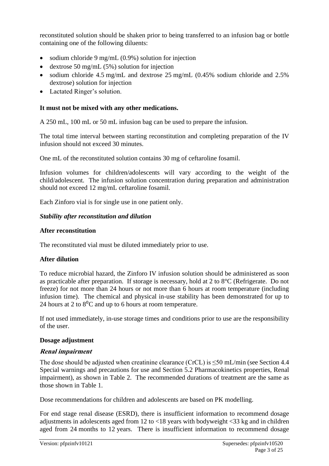reconstituted solution should be shaken prior to being transferred to an infusion bag or bottle containing one of the following diluents:

- sodium chloride 9 mg/mL (0.9%) solution for injection
- dextrose 50 mg/mL  $(5\%)$  solution for injection
- sodium chloride 4.5 mg/mL and dextrose 25 mg/mL (0.45% sodium chloride and 2.5% dextrose) solution for injection
- Lactated Ringer's solution.

### **It must not be mixed with any other medications.**

A 250 mL, 100 mL or 50 mL infusion bag can be used to prepare the infusion.

The total time interval between starting reconstitution and completing preparation of the IV infusion should not exceed 30 minutes.

One mL of the reconstituted solution contains 30 mg of ceftaroline fosamil.

Infusion volumes for children/adolescents will vary according to the weight of the child/adolescent. The infusion solution concentration during preparation and administration should not exceed 12 mg/mL ceftaroline fosamil.

Each Zinforo vial is for single use in one patient only.

### *Stability after reconstitution and dilution*

#### **After reconstitution**

The reconstituted vial must be diluted immediately prior to use.

## **After dilution**

To reduce microbial hazard, the Zinforo IV infusion solution should be administered as soon as practicable after preparation. If storage is necessary, hold at 2 to 8°C (Refrigerate. Do not freeze) for not more than 24 hours or not more than 6 hours at room temperature (including infusion time). The chemical and physical in-use stability has been demonstrated for up to 24 hours at 2 to  $8^{\circ}$ C and up to 6 hours at room temperature.

If not used immediately, in-use storage times and conditions prior to use are the responsibility of the user.

#### **Dosage adjustment**

## **Renal impairment**

The dose should be adjusted when creatinine clearance (CrCL) is  $\leq 50$  mL/min (see Section 4.4) Special warnings and precautions for use and Section 5.2 Pharmacokinetics properties, Renal impairment), as shown in Table 2. The recommended durations of treatment are the same as those shown in Table 1.

Dose recommendations for children and adolescents are based on PK modelling.

For end stage renal disease (ESRD), there is insufficient information to recommend dosage adjustments in adolescents aged from 12 to <18 years with bodyweight <33 kg and in children aged from 24 months to 12 years. There is insufficient information to recommend dosage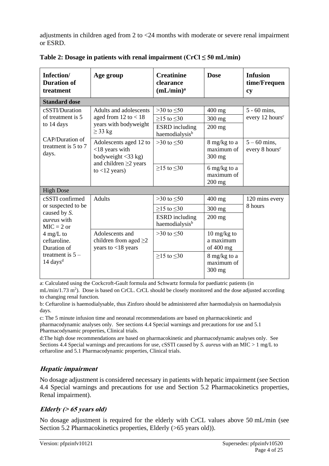adjustments in children aged from 2 to <24 months with moderate or severe renal impairment or ESRD.

| Infection/<br><b>Duration of</b><br>treatment          | Age group                                                                                   | <b>Creatinine</b><br>clearance<br>(mL/min) <sup>a</sup>               | <b>Dose</b>                                                     | <b>Infusion</b><br>time/Frequen<br><b>cy</b>  |  |
|--------------------------------------------------------|---------------------------------------------------------------------------------------------|-----------------------------------------------------------------------|-----------------------------------------------------------------|-----------------------------------------------|--|
| <b>Standard dose</b>                                   |                                                                                             |                                                                       |                                                                 |                                               |  |
| cSSTI/Duration<br>of treatment is 5<br>to 14 days      | Adults and adolescents<br>aged from $12$ to $< 18$<br>years with bodyweight<br>$\geq$ 33 kg | $>30$ to $\leq 50$<br>$\geq$ 15 to $\leq$ 30<br><b>ESRD</b> including | $400$ mg<br>$300$ mg<br>$200$ mg                                | $5 - 60$ mins,<br>every 12 hours <sup>c</sup> |  |
| <b>CAP/Duration of</b><br>treatment is 5 to 7<br>days. | Adolescents aged 12 to<br>$<$ 18 years with<br>bodyweight $\langle 33 \text{ kg} \rangle$   | haemodialysis <sup>b</sup><br>$>30$ to $\leq 50$                      | 8 mg/kg to a<br>maximum of<br>$300$ mg                          | $5 - 60$ mins,<br>every 8 hours <sup>c</sup>  |  |
|                                                        | and children $\geq$ 2 years<br>to $<$ 12 years)                                             | $>15$ to $\leq 30$                                                    | 6 mg/kg to a<br>maximum of<br>200 mg                            |                                               |  |
| <b>High Dose</b>                                       |                                                                                             |                                                                       |                                                                 |                                               |  |
| cSSTI confirmed                                        | <b>Adults</b>                                                                               | $>30$ to $\leq 50$                                                    | $400$ mg                                                        | 120 mins every                                |  |
| or suspected to be<br>caused by S.                     |                                                                                             | $\geq$ 15 to $\leq$ 30                                                | $300$ mg                                                        | 8 hours                                       |  |
| <i>aureus</i> with<br>$MIC = 2$ or                     |                                                                                             | <b>ESRD</b> including<br>haemodialysis <sup>b</sup>                   | $200$ mg                                                        |                                               |  |
| $4 \text{ mg/L}$ to<br>ceftaroline.<br>Duration of     | Adolescents and<br>children from aged $\geq$ 2<br>years to $<$ 18 years                     | $>30$ to $\leq 50$                                                    | $10 \frac{\text{mg}}{\text{kg}}$ to<br>a maximum<br>of $400$ mg |                                               |  |
| treatment is $5 -$<br>$14 \text{ days}^d$              |                                                                                             | $\geq$ 15 to $\leq$ 30                                                | 8 mg/kg to a<br>maximum of<br>300 mg                            |                                               |  |

Table 2: Dosage in patients with renal impairment  $(CrCl \leq 50$  mL/min)

a: Calculated using the Cockcroft-Gault formula and Schwartz formula for paediatric patients (in

mL/min/1.73 m<sup>2</sup>). Dose is based on CrCL. CrCL should be closely monitored and the dose adjusted according to changing renal function.

b: Ceftaroline is haemodialysable, thus Zinforo should be administered after haemodialysis on haemodialysis days.

c: The 5 minute infusion time and neonatal recommendations are based on pharmacokinetic and pharmacodynamic analyses only. See sections 4.4 Special warnings and precautions for use and 5.1 Pharmacodynamic properties, Clinical trials.

d:The high dose recommendations are based on pharmacokinetic and pharmacodynamic analyses only. See Sections 4.4 Special warnings and precautions for use, cSSTI caused by *S. aureus* with an MIC > 1 mg/L to ceftaroline and 5.1 Pharmacodynamic properties, Clinical trials.

## **Hepatic impairment**

No dosage adjustment is considered necessary in patients with hepatic impairment (see Section 4.4 Special warnings and precautions for use and Section 5.2 Pharmacokinetics properties, Renal impairment).

## **Elderly (> 65 years old)**

No dosage adjustment is required for the elderly with CrCL values above 50 mL/min (see Section 5.2 Pharmacokinetics properties, Elderly (>65 years old)).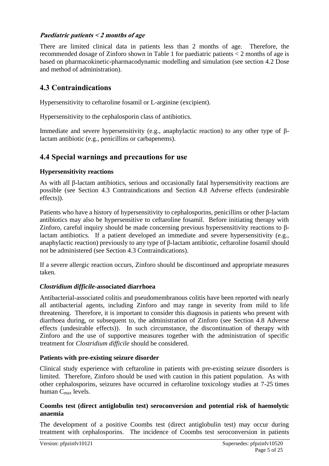### **Paediatric patients < 2 months of age**

There are limited clinical data in patients less than 2 months of age. Therefore, the recommended dosage of Zinforo shown in Table 1 for paediatric patients < 2 months of age is based on pharmacokinetic-pharmacodynamic modelling and simulation (see section 4.2 Dose and method of administration).

## **4.3 Contraindications**

Hypersensitivity to ceftaroline fosamil or L-arginine (excipient).

Hypersensitivity to the cephalosporin class of antibiotics.

Immediate and severe hypersensitivity (e.g., anaphylactic reaction) to any other type of βlactam antibiotic (e.g., penicillins or carbapenems).

## **4.4 Special warnings and precautions for use**

### **Hypersensitivity reactions**

As with all β-lactam antibiotics, serious and occasionally fatal hypersensitivity reactions are possible (see Section 4.3 Contraindications and Section 4.8 Adverse effects (undesirable effects)).

Patients who have a history of hypersensitivity to cephalosporins, penicillins or other β-lactam antibiotics may also be hypersensitive to ceftaroline fosamil. Before initiating therapy with Zinforo, careful inquiry should be made concerning previous hypersensitivity reactions to βlactam antibiotics. If a patient developed an immediate and severe hypersensitivity (e.g., anaphylactic reaction) previously to any type of β-lactam antibiotic, ceftaroline fosamil should not be administered (see Section 4.3 Contraindications).

If a severe allergic reaction occurs, Zinforo should be discontinued and appropriate measures taken.

#### *Clostridium difficile***-associated diarrhoea**

Antibacterial-associated colitis and pseudomembranous colitis have been reported with nearly all antibacterial agents, including Zinforo and may range in severity from mild to life threatening. Therefore, it is important to consider this diagnosis in patients who present with diarrhoea during, or subsequent to, the administration of Zinforo (see Section 4.8 Adverse effects (undesirable effects)). In such circumstance, the discontinuation of therapy with Zinforo and the use of supportive measures together with the administration of specific treatment for *Clostridium difficile* should be considered.

#### **Patients with pre-existing seizure disorder**

Clinical study experience with ceftaroline in patients with pre-existing seizure disorders is limited. Therefore, Zinforo should be used with caution in this patient population. As with other cephalosporins, seizures have occurred in ceftaroline toxicology studies at 7-25 times human Cmax levels.

### **Coombs test (direct antiglobulin test) seroconversion and potential risk of haemolytic anaemia**

The development of a positive Coombs test (direct antiglobulin test) may occur during treatment with cephalosporins. The incidence of Coombs test seroconversion in patients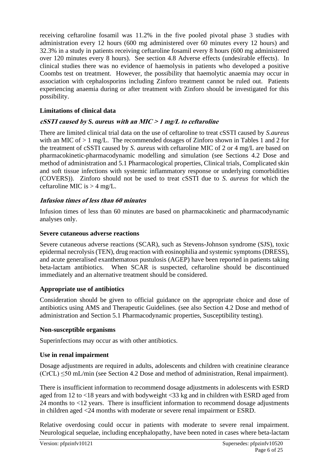receiving ceftaroline fosamil was 11.2% in the five pooled pivotal phase 3 studies with administration every 12 hours (600 mg administered over 60 minutes every 12 hours) and 32.3% in a study in patients receiving ceftaroline fosamil every 8 hours (600 mg administered over 120 minutes every 8 hours). See section 4.8 Adverse effects (undesirable effects). In clinical studies there was no evidence of haemolysis in patients who developed a positive Coombs test on treatment. However, the possibility that haemolytic anaemia may occur in association with cephalosporins including Zinforo treatment cannot be ruled out. Patients experiencing anaemia during or after treatment with Zinforo should be investigated for this possibility.

## **Limitations of clinical data**

## **cSSTI caused by** *S. aureus* **with an MIC <sup>&</sup>gt; <sup>1</sup> mg/L to ceftaroline**

There are limited clinical trial data on the use of ceftaroline to treat cSSTI caused by *S.aureus* with an MIC of  $> 1$  mg/L. The recommended dosages of Zinforo shown in Tables 1 and 2 for the treatment of cSSTI caused by *S. aureus* with ceftaroline MIC of 2 or 4 mg/L are based on pharmacokinetic-pharmacodynamic modelling and simulation (see Sections 4.2 Dose and method of administration and 5.1 Pharmacological properties, Clinical trials, Complicated skin and soft tissue infections with systemic inflammatory response or underlying comorbidities (COVERS)). Zinforo should not be used to treat cSSTI due to *S. aureus* for which the ceftaroline MIC is  $>$  4 mg/L.

## **Infusion times of less than 60 minutes**

Infusion times of less than 60 minutes are based on pharmacokinetic and pharmacodynamic analyses only.

### **Severe cutaneous adverse reactions**

Severe cutaneous adverse reactions (SCAR), such as Stevens-Johnson syndrome (SJS), toxic epidermal necrolysis (TEN), drug reaction with eosinophilia and systemic symptoms (DRESS), and acute generalised exanthematous pustulosis (AGEP) have been reported in patients taking beta-lactam antibiotics. When SCAR is suspected, ceftaroline should be discontinued immediately and an alternative treatment should be considered.

## **Appropriate use of antibiotics**

Consideration should be given to official guidance on the appropriate choice and dose of antibiotics using AMS and Therapeutic Guidelines. (see also Section 4.2 Dose and method of administration and Section 5.1 Pharmacodynamic properties, Susceptibility testing).

## **Non-susceptible organisms**

Superinfections may occur as with other antibiotics.

## **Use in renal impairment**

Dosage adjustments are required in adults, adolescents and children with creatinine clearance  $(CrCL) \leq 50$  mL/min (see Section 4.2 Dose and method of administration, Renal impairment).

There is insufficient information to recommend dosage adjustments in adolescents with ESRD aged from 12 to <18 years and with bodyweight <33 kg and in children with ESRD aged from 24 months to <12 years. There is insufficient information to recommend dosage adjustments in children aged <24 months with moderate or severe renal impairment or ESRD.

Relative overdosing could occur in patients with moderate to severe renal impairment. Neurological sequelae, including encephalopathy, have been noted in cases where beta-lactam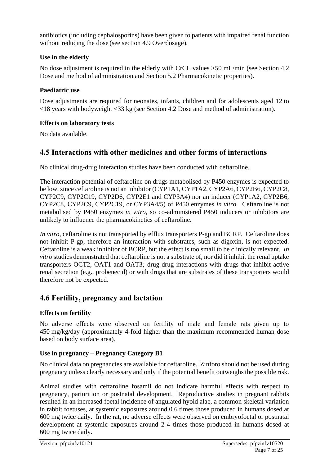antibiotics (including cephalosporins) have been given to patients with impaired renal function without reducing the dose (see section 4.9 Overdosage).

### **Use in the elderly**

No dose adjustment is required in the elderly with CrCL values >50 mL/min (see Section 4.2 Dose and method of administration and Section 5.2 Pharmacokinetic properties).

### **Paediatric use**

Dose adjustments are required for neonates, infants, children and for adolescents aged 12 to <18 years with bodyweight <33 kg (see Section 4.2 Dose and method of administration).

#### **Effects on laboratory tests**

No data available.

## **4.5 Interactions with other medicines and other forms of interactions**

No clinical drug-drug interaction studies have been conducted with ceftaroline.

The interaction potential of ceftaroline on drugs metabolised by P450 enzymes is expected to be low, since ceftaroline is not an inhibitor (CYP1A1, CYP1A2, CYP2A6, CYP2B6, CYP2C8, CYP2C9, CYP2C19, CYP2D6, CYP2E1 and CYP3A4) nor an inducer (CYP1A2, CYP2B6, CYP2C8, CYP2C9, CYP2C19, or CYP3A4/5) of P450 enzymes *in vitro*. Ceftaroline is not metabolised by P450 enzymes *in vitro*, so co-administered P450 inducers or inhibitors are unlikely to influence the pharmacokinetics of ceftaroline.

*In vitro,* ceftaroline is not transported by efflux transporters P-gp and BCRP. Ceftaroline does not inhibit P-gp, therefore an interaction with substrates, such as digoxin, is not expected. Ceftaroline is a weak inhibitor of BCRP, but the effect is too small to be clinically relevant. *In vitro* studies demonstrated that ceftaroline is not a substrate of, nor did it inhibit the renal uptake transporters OCT2, OAT1 and OAT3*;* drug-drug interactions with drugs that inhibit active renal secretion (e.g., probenecid) or with drugs that are substrates of these transporters would therefore not be expected.

## **4.6 Fertility, pregnancy and lactation**

## **Effects on fertility**

No adverse effects were observed on fertility of male and female rats given up to 450 mg/kg/day (approximately 4-fold higher than the maximum recommended human dose based on body surface area).

## **Use in pregnancy – Pregnancy Category B1**

No clinical data on pregnancies are available for ceftaroline. Zinforo should not be used during pregnancy unless clearly necessary and only if the potential benefit outweighs the possible risk.

Animal studies with ceftaroline fosamil do not indicate harmful effects with respect to pregnancy, parturition or postnatal development. Reproductive studies in pregnant rabbits resulted in an increased foetal incidence of angulated hyoid alae, a common skeletal variation in rabbit foetuses, at systemic exposures around 0.6 times those produced in humans dosed at 600 mg twice daily. In the rat, no adverse effects were observed on embryofoetal or postnatal development at systemic exposures around 2-4 times those produced in humans dosed at 600 mg twice daily.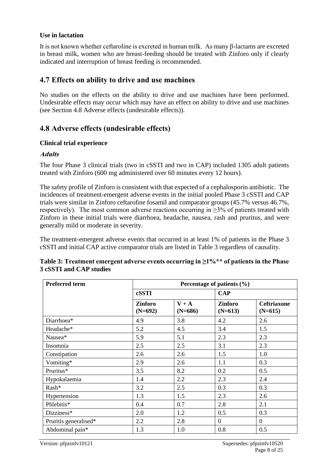#### **Use in lactation**

It is not known whether ceftaroline is excreted in human milk. As many β-lactams are excreted in breast milk, women who are breast-feeding should be treated with Zinforo only if clearly indicated and interruption of breast feeding is recommended.

## **4.7 Effects on ability to drive and use machines**

No studies on the effects on the ability to drive and use machines have been performed. Undesirable effects may occur which may have an effect on ability to drive and use machines (see Section 4.8 Adverse effects (undesirable effects)).

## **4.8 Adverse effects (undesirable effects)**

#### **Clinical trial experience**

#### **Adults**

The four Phase 3 clinical trials (two in cSSTI and two in CAP) included 1305 adult patients treated with Zinforo (600 mg administered over 60 minutes every 12 hours).

The safety profile of Zinforo is consistent with that expected of a cephalosporin antibiotic. The incidences of treatment-emergent adverse events in the initial pooled Phase 3 cSSTI and CAP trials were similar in Zinforo ceftaroline fosamil and comparator groups (45.7% versus 46.7%, respectively). The most common adverse reactions occurring in  $\geq$ 3% of patients treated with Zinforo in these initial trials were diarrhoea, headache, nausea, rash and pruritus, and were generally mild or moderate in severity.

The treatment-emergent adverse events that occurred in at least 1% of patients in the Phase 3 cSSTI and initial CAP active comparator trials are listed in Table 3 regardless of causality.

| <b>Preferred term</b> | Percentage of patients $(\% )$ |                      |                             |                                 |  |  |  |
|-----------------------|--------------------------------|----------------------|-----------------------------|---------------------------------|--|--|--|
|                       | cSSTI                          |                      | <b>CAP</b>                  |                                 |  |  |  |
|                       | <b>Zinforo</b><br>$(N=692)$    | $V + A$<br>$(N=686)$ | <b>Zinforo</b><br>$(N=613)$ | <b>Ceftriaxone</b><br>$(N=615)$ |  |  |  |
| Diarrhoea*            | 4.9                            | 3.8                  | 4.2                         | 2.6                             |  |  |  |
| Headache*             | 5.2                            | 4.5                  | 3.4                         | 1.5                             |  |  |  |
| Nausea*               | 5.9                            | 5.1                  | 2.3                         | 2.3                             |  |  |  |
| Insomnia              | 2.5                            | 2.5                  | 3.1                         | 2.3                             |  |  |  |
| Constipation          | 2.6                            | 2.6                  | 1.5                         | 1.0                             |  |  |  |
| Vomiting*             | 2.9                            | 2.6                  | 1.1                         | 0.3                             |  |  |  |
| Pruritus*             | 3.5                            | 8.2                  |                             | 0.5                             |  |  |  |
| Hypokalaemia          | 1.4                            | 2.2                  | 2.3                         | 2.4                             |  |  |  |
| Rash*                 | 3.2                            | 2.5                  | 0.3                         | 0.3                             |  |  |  |
| Hypertension          | 1.3                            | 1.5                  | 2.3                         | 2.6                             |  |  |  |
| Phlebitis*            | 0.4                            | 0.7                  | 2.8                         | 2.1                             |  |  |  |
| Dizziness*            | 2.0                            | 1.2                  | 0.5                         | 0.3                             |  |  |  |
| Pruritis generalised* | 2.2                            | 2.8                  | $\boldsymbol{0}$            | $\overline{0}$                  |  |  |  |
| Abdominal pain*       | 1.3                            | 1.0                  | 0.8                         | 0.5                             |  |  |  |

| Table 3: Treatment emergent adverse events occurring in $\geq$ 1% <sup>**</sup> of patients in the Phase |  |
|----------------------------------------------------------------------------------------------------------|--|
| 3 cSSTI and CAP studies                                                                                  |  |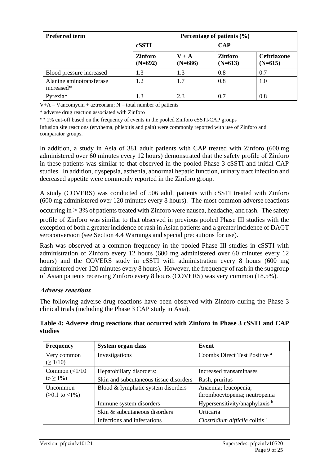| <b>Preferred term</b>                  | Percentage of patients $(\% )$ |                      |                             |                                 |  |
|----------------------------------------|--------------------------------|----------------------|-----------------------------|---------------------------------|--|
|                                        | cSSTI                          |                      | <b>CAP</b>                  |                                 |  |
|                                        | <b>Zinforo</b><br>$(N=692)$    | $V + A$<br>$(N=686)$ | <b>Zinforo</b><br>$(N=613)$ | <b>Ceftriaxone</b><br>$(N=615)$ |  |
| Blood pressure increased               | 1.3                            | 1.3                  | 0.8                         | 0.7                             |  |
| Alanine aminotransferase<br>increased* | 1.2                            | 1.7                  | 0.8                         | 1.0                             |  |
| Pyrexia*                               | 1.3                            | 2.3                  | 0.7                         | 0.8                             |  |

 $V+A-Vancomycin + aztreonam; N - total number of patients$ 

\* adverse drug reaction associated with Zinforo

\*\* 1% cut-off based on the frequency of events in the pooled Zinforo cSSTI/CAP groups

Infusion site reactions (erythema, phlebitis and pain) were commonly reported with use of Zinforo and comparator groups.

In addition, a study in Asia of 381 adult patients with CAP treated with Zinforo (600 mg administered over 60 minutes every 12 hours) demonstrated that the safety profile of Zinforo in these patients was similar to that observed in the pooled Phase 3 cSSTI and initial CAP studies. In addition, dyspepsia, asthenia, abnormal hepatic function, urinary tract infection and decreased appetite were commonly reported in the Zinforo group.

A study (COVERS) was conducted of 506 adult patients with cSSTI treated with Zinforo (600 mg administered over 120 minutes every 8 hours). The most common adverse reactions

occurring in  $\geq$  3% of patients treated with Zinforo were nausea, headache, and rash. The safety profile of Zinforo was similar to that observed in previous pooled Phase III studies with the exception of both a greater incidence of rash in Asian patients and a greater incidence of DAGT seroconversion (see Section 4.4 Warnings and special precautions for use).

Rash was observed at a common frequency in the pooled Phase III studies in cSSTI with administration of Zinforo every 12 hours (600 mg administered over 60 minutes every 12 hours) and the COVERS study in cSSTI with administration every 8 hours (600 mg administered over 120 minutes every 8 hours). However, the frequency of rash in the subgroup of Asian patients receiving Zinforo every 8 hours (COVERS) was very common (18.5%).

#### **Adverse reactions**

The following adverse drug reactions have been observed with Zinforo during the Phase 3 clinical trials (including the Phase 3 CAP study in Asia).

| <b>Frequency</b>                            | System organ class                     | Event                                                 |
|---------------------------------------------|----------------------------------------|-------------------------------------------------------|
| Very common<br>$( \geq 1/10)$               | Investigations                         | Coombs Direct Test Positive <sup>a</sup>              |
| Common $\left($ < 1/10                      | Hepatobiliary disorders:               | Increased transaminases                               |
| to $\geq 1\%$ )                             | Skin and subcutaneous tissue disorders | Rash, pruritus                                        |
| <b>Uncommon</b><br>$(20.1 \text{ to } 1\%)$ | Blood & lymphatic system disorders     | Anaemia; leucopenia;<br>thrombocytopenia; neutropenia |
|                                             | Immune system disorders                | Hypersensitivity/anaphylaxis b                        |
|                                             | Skin & subcutaneous disorders          | Urticaria                                             |
|                                             | Infections and infestations            | Clostridium difficile colitis <sup>a</sup>            |

**Table 4: Adverse drug reactions that occurred with Zinforo in Phase 3 cSSTI and CAP studies**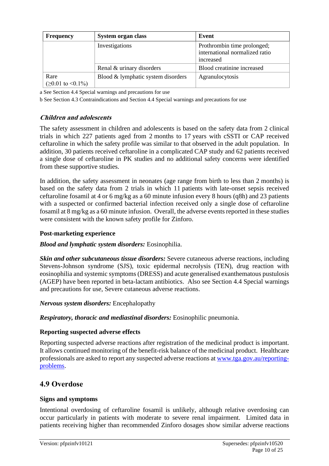| <b>Frequency</b>                        | System organ class                 | Event                                                                      |
|-----------------------------------------|------------------------------------|----------------------------------------------------------------------------|
|                                         | Investigations                     | Prothrombin time prolonged;<br>international normalized ratio<br>increased |
|                                         | Renal & urinary disorders          | Blood creatinine increased                                                 |
| Rare<br>$( \geq 0.01$ to $\leq 0.1\% )$ | Blood & lymphatic system disorders | Agranulocytosis                                                            |

a See Section 4.4 Special warnings and precautions for use

b See Section 4.3 Contraindications and Section 4.4 Special warnings and precautions for use

### **Children and adolescents**

The safety assessment in children and adolescents is based on the safety data from 2 clinical trials in which 227 patients aged from 2 months to 17 years with cSSTI or CAP received ceftaroline in which the safety profile was similar to that observed in the adult population. In addition, 30 patients received ceftaroline in a complicated CAP study and 62 patients received a single dose of ceftaroline in PK studies and no additional safety concerns were identified from these supportive studies.

In addition, the safety assessment in neonates (age range from birth to less than 2 months) is based on the safety data from 2 trials in which 11 patients with late-onset sepsis received ceftaroline fosamil at 4 or 6 mg/kg as a 60 minute infusion every 8 hours (q8h) and 23 patients with a suspected or confirmed bacterial infection received only a single dose of ceftaroline fosamil at 8 mg/kg as a 60 minute infusion. Overall, the adverse events reported in these studies were consistent with the known safety profile for Zinforo.

#### **Post-marketing experience**

#### *Blood and lymphatic system disorders:* Eosinophilia.

*Skin and other subcutaneous tissue disorders:* Severe cutaneous adverse reactions, including Stevens-Johnson syndrome (SJS), toxic epidermal necrolysis (TEN), drug reaction with eosinophilia and systemic symptoms (DRESS) and acute generalised exanthematous pustulosis (AGEP) have been reported in beta-lactam antibiotics. Also see Section 4.4 Special warnings and precautions for use, Severe cutaneous adverse reactions.

#### *Nervous system disorders:* Encephalopathy

*Respiratory, thoracic and mediastinal disorders:* Eosinophilic pneumonia.

#### **Reporting suspected adverse effects**

Reporting suspected adverse reactions after registration of the medicinal product is important. It allows continued monitoring of the benefit-risk balance of the medicinal product. Healthcare professionals are asked to report any suspected adverse reactions at [www.tga.gov.au/reporting](http://www.tga.gov.au/reporting-problems)[problems.](http://www.tga.gov.au/reporting-problems)

## **4.9 Overdose**

#### **Signs and symptoms**

Intentional overdosing of ceftaroline fosamil is unlikely, although relative overdosing can occur particularly in patients with moderate to severe renal impairment. Limited data in patients receiving higher than recommended Zinforo dosages show similar adverse reactions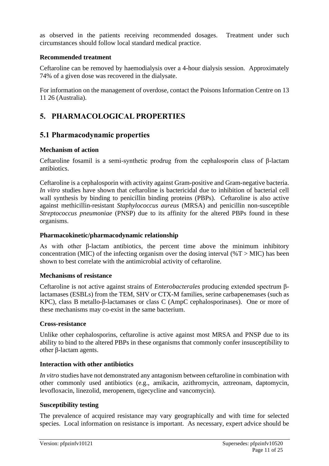as observed in the patients receiving recommended dosages. Treatment under such circumstances should follow local standard medical practice.

#### **Recommended treatment**

Ceftaroline can be removed by haemodialysis over a 4-hour dialysis session. Approximately 74% of a given dose was recovered in the dialysate.

For information on the management of overdose, contact the Poisons Information Centre on 13 11 26 (Australia).

## **5. PHARMACOLOGICAL PROPERTIES**

## **5.1 Pharmacodynamic properties**

### **Mechanism of action**

Ceftaroline fosamil is a semi-synthetic prodrug from the cephalosporin class of β-lactam antibiotics.

Ceftaroline is a cephalosporin with activity against Gram-positive and Gram-negative bacteria. *In vitro* studies have shown that ceftaroline is bactericidal due to inhibition of bacterial cell wall synthesis by binding to penicillin binding proteins (PBPs). Ceftaroline is also active against methicillin-resistant *Staphylococcus aureus* (MRSA) and penicillin non-susceptible *Streptococcus pneumoniae* (PNSP) due to its affinity for the altered PBPs found in these organisms.

### **Pharmacokinetic/pharmacodynamic relationship**

As with other β-lactam antibiotics, the percent time above the minimum inhibitory concentration (MIC) of the infecting organism over the dosing interval ( $\%T >$ MIC) has been shown to best correlate with the antimicrobial activity of ceftaroline.

#### **Mechanisms of resistance**

Ceftaroline is not active against strains of *Enterobacterales* producing extended spectrum βlactamases (ESBLs) from the TEM, SHV or CTX-M families, serine carbapenemases (such as KPC), class B metallo-β-lactamases or class C (AmpC cephalosporinases). One or more of these mechanisms may co-exist in the same bacterium.

#### **Cross-resistance**

Unlike other cephalosporins, ceftaroline is active against most MRSA and PNSP due to its ability to bind to the altered PBPs in these organisms that commonly confer insusceptibility to other β-lactam agents.

## **Interaction with other antibiotics**

*In vitro* studies have not demonstrated any antagonism between ceftaroline in combination with other commonly used antibiotics (e.g., amikacin, azithromycin, aztreonam, daptomycin, levofloxacin, linezolid, meropenem, tigecycline and vancomycin).

## **Susceptibility testing**

The prevalence of acquired resistance may vary geographically and with time for selected species. Local information on resistance is important. As necessary, expert advice should be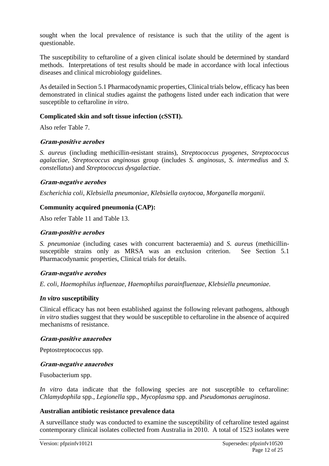sought when the local prevalence of resistance is such that the utility of the agent is questionable.

The susceptibility to ceftaroline of a given clinical isolate should be determined by standard methods. Interpretations of test results should be made in accordance with local infectious diseases and clinical microbiology guidelines.

As detailed in Section 5.1 Pharmacodynamic properties, Clinical trials below, efficacy has been demonstrated in clinical studies against the pathogens listed under each indication that were susceptible to ceftaroline *in vitro*.

#### **Complicated skin and soft tissue infection (cSSTI).**

Also refer Table 7.

#### **Gram-positive aerobes**

*S. aureus* (including methicillin-resistant strains), *Streptococcus pyogenes*, *Streptococcus agalactiae*, *Streptococcus anginosus* group (includes *S. anginosus*, *S. intermedius* and *S. constellatus*) and *Streptococcus dysgalactiae*.

#### **Gram-negative aerobes**

*Escherichia coli*, *Klebsiella pneumoniae*, *Klebsiella oxytocoa*, *Morganella morganii.*

#### **Community acquired pneumonia (CAP):**

Also refer Table 11 and Table 13.

#### **Gram-positive aerobes**

*S. pneumoniae* (including cases with concurrent bacteraemia) and *S. aureus* (methicillinsusceptible strains only as MRSA was an exclusion criterion. See Section 5.1 Pharmacodynamic properties, Clinical trials for details.

#### **Gram-negative aerobes**

*E. coli*, *Haemophilus influenzae*, *Haemophilus parainfluenzae*, *Klebsiella pneumoniae.*

#### *In vitro* **susceptibility**

Clinical efficacy has not been established against the following relevant pathogens, although *in vitro* studies suggest that they would be susceptible to ceftaroline in the absence of acquired mechanisms of resistance.

#### **Gram-positive anaerobes**

Peptostreptococcus spp.

#### **Gram-negative anaerobes**

Fusobacterium spp.

*In vitro* data indicate that the following species are not susceptible to ceftaroline: *Chlamydophila* spp., *Legionella* spp., *Mycoplasma* spp. and *Pseudomonas aeruginosa*.

#### **Australian antibiotic resistance prevalence data**

A surveillance study was conducted to examine the susceptibility of ceftaroline tested against contemporary clinical isolates collected from Australia in 2010. A total of 1523 isolates were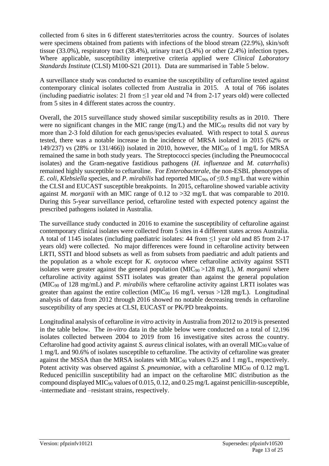collected from 6 sites in 6 different states/territories across the country. Sources of isolates were specimens obtained from patients with infections of the blood stream (22.9%), skin/soft tissue (33.0%), respiratory tract (38.4%), urinary tract (3.4%) or other (2.4%) infection types. Where applicable, susceptibility interpretive criteria applied were *Clinical Laboratory Standards Institute* (CLSI) M100-S21 (2011). Data are summarised in Table 5 below.

A surveillance study was conducted to examine the susceptibility of ceftaroline tested against contemporary clinical isolates collected from Australia in 2015. A total of 766 isolates (including paediatric isolates: 21 from  $\leq$ 1 year old and 74 from 2-17 years old) were collected from 5 sites in 4 different states across the country.

Overall, the 2015 surveillance study showed similar susceptibility results as in 2010. There were no significant changes in the MIC range  $(mg/L)$  and the MIC<sub>90</sub> results did not vary by more than 2-3 fold dilution for each genus/species evaluated. With respect to total *S. aureus* tested, there was a notable increase in the incidence of MRSA isolated in 2015 (62% or 149/237) vs (28% or 131/466)) isolated in 2010, however, the MIC<sup>90</sup> of 1 mg/L for MRSA remained the same in both study years. The Streptococci species (including the Pneumococcal isolates) and the Gram-negative fastidious pathogens (*H. influenzae* and *M. catarrhalis*) remained highly susceptible to ceftaroline. For *Enterobacterale*, the non-ESBL phenotypes of *E. coli, Klebsiella species, and <i>P. mirabilis* had reported MIC<sub>90s</sub> of  $\leq$ 0.5 mg/L that were within the CLSI and EUCAST susceptible breakpoints. In 2015, ceftaroline showed variable activity against *M. morganii* with an MIC range of 0.12 to >32 mg/L that was comparable to 2010. During this 5-year surveillance period, ceftaroline tested with expected potency against the prescribed pathogens isolated in Australia.

The surveillance study conducted in 2016 to examine the susceptibility of ceftaroline against contemporary clinical isolates were collected from 5 sites in 4 different states across Australia. A total of 1145 isolates (including paediatric isolates: 44 from ≤1 year old and 85 from 2-17 years old) were collected. No major differences were found in ceftaroline activity between LRTI, SSTI and blood subsets as well as from subsets from paediatric and adult patients and the population as a whole except for *K. oxytocoa* where ceftaroline activity against SSTI isolates were greater against the general population (MIC90 >128 mg/L), *M. morganii* where ceftaroline activity against SSTI isolates was greater than against the general population (MIC<sup>90</sup> of 128 mg/mL) and *P. mirabilis* where ceftaroline activity against LRTI isolates was greater than against the entire collection (MIC<sub>90</sub> 16 mg/L versus >128 mg/L). Longitudinal analysis of data from 2012 through 2016 showed no notable decreasing trends in ceftaroline susceptibility of any species at CLSI, EUCAST or PK/PD breakpoints.

Longitudinal analysis of ceftaroline *in vitro* activity in Australia from 2012 to 2019 is presented in the table below. The *in-vitro* data in the table below were conducted on a total of 12,196 isolates collected between 2004 to 2019 from 16 investigative sites across the country. Ceftaroline had good activity against *S. aureus* clinical isolates, with an overall MIC<sub>90</sub> value of 1 mg/L and 90.6% of isolates susceptible to ceftaroline. The activity of ceftaroline was greater against the MSSA than the MRSA isolates with  $MIC<sub>90</sub>$  values 0.25 and 1 mg/L, respectively. Potent activity was observed against *S. pneumoniae*, with a ceftaroline MIC<sub>90</sub> of 0.12 mg/L Reduced penicillin susceptibility had an impact on the ceftaroline MIC distribution as the compound displayed MIC<sup>90</sup> values of 0.015, 0.12, and 0.25 mg/L against penicillin-susceptible, -intermediate and –resistant strains, respectively.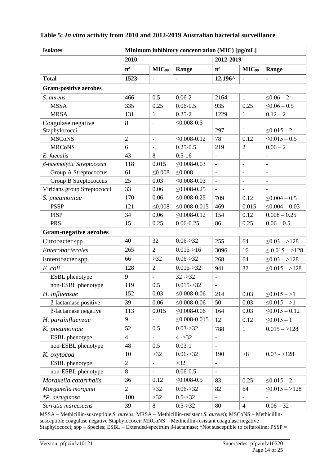### **Table 5:** *In vitro* **activity from 2010 and 2012-2019 Australian bacterial surveillance**

| <b>Isolates</b>              |                |                          | Minimum inhibitory concentration (MIC) [µg/mL] |                          |                          |                          |
|------------------------------|----------------|--------------------------|------------------------------------------------|--------------------------|--------------------------|--------------------------|
|                              | 2010           |                          |                                                | 2012-2019                |                          |                          |
|                              | $n^a$          | $MIC_{90}$               | Range                                          | $n^a$                    | $MIC_{90}$               | Range                    |
| <b>Total</b>                 | 1523           |                          |                                                | $12,196^{\circ}$         |                          | $\blacksquare$           |
| <b>Gram-positive aerobes</b> |                |                          |                                                |                          |                          |                          |
| S. aureus                    | 466            | 0.5                      | $0.06 - 2$                                     | 2164                     | $\mathbf{1}$             | $\leq 0.06 - 2$          |
| <b>MSSA</b>                  | 335            | 0.25                     | $0.06 - 0.5$                                   | 935                      | 0.25                     | $\leq 0.06 - 0.5$        |
| <b>MRSA</b>                  | 131            | $\mathbf{1}$             | $0.25 - 2$                                     | 1229                     | $\mathbf{1}$             | $0.12 - 2$               |
| Coagulase negative           | 8              | $\overline{\phantom{a}}$ | $\leq 0.008 - 0.5$                             |                          |                          |                          |
| Staphylococci                |                |                          |                                                | 297                      | 1                        | $\leq 0.015 - 2$         |
| <b>MSCoNS</b>                | $\overline{2}$ | $\equiv$                 | $\leq 0.008 - 0.12$                            | 78                       | 0.12                     | $\leq 0.015 - 0.5$       |
| <b>MRCoNS</b>                | 6              |                          | $0.25 - 0.5$                                   | 219                      | $\overline{2}$           | $0.06 - 2$               |
| E. faecalis                  | 43             | 8                        | $0.5 - 16$                                     | $\overline{\phantom{a}}$ | $\overline{\phantom{a}}$ | $\overline{\phantom{a}}$ |
| β-haemolytic Streptococci    | 118            | 0.015                    | $\leq 0.008 - 0.03$                            |                          | $\overline{a}$           | $\overline{\phantom{m}}$ |
| Group A Streptococcus        | 61             | $\leq 0.008$             | $\leq 0.008$                                   | $\blacksquare$           | $\overline{\phantom{a}}$ | $\overline{\phantom{a}}$ |
| Group B Streptococcus        | 25             | 0.03                     | $\leq 0.008 - 0.03$                            |                          | $\overline{\phantom{a}}$ | $\overline{\phantom{a}}$ |
| Viridans group Streptococci  | 33             | 0.06                     | $\leq 0.008 - 0.25$                            | $\equiv$                 | $\equiv$                 |                          |
| S. pneumoniae                | 170            | 0.06                     | $\leq 0.008 - 0.25$                            | 709                      | 0.12                     | $\leq 0.004 - 0.5$       |
| <b>PSSP</b>                  | 121            | $\leq 0.008$             | $\leq 0.008 - 0.015$                           | 469                      | 0.015                    | $\leq 0.004 - 0.03$      |
| <b>PISP</b>                  | 34             | 0.06                     | $\leq 0.008 - 0.12$                            | 154                      | 0.12                     | $0.008 - 0.25$           |
| <b>PRS</b>                   | 15             | 0.25                     | $0.06 - 0.25$                                  | 86                       | 0.25                     | $0.06 - 0.5$             |
| <b>Gram-negative aerobes</b> |                |                          |                                                |                          |                          |                          |
| Citrobacter spp              | 40             | 32                       | $0.06 - > 32$                                  | 255                      | 64                       | $\leq 0.03 - 128$        |
| Enterobacterales             | 265            | $\overline{2}$           | 0.015 > 16                                     | 3096                     | 16                       | $\leq 0.015 - 128$       |
| Enterobacter spp.            | 66             | >32                      | 0.06 > 32                                      | 268                      | 64                       | $\leq 0.03 - 128$        |
| E. coli                      | 128            | $\overline{2}$           | $0.015 - > 32$                                 | 941                      | 32                       | $\leq 0.015 - 128$       |
| ESBL phenotype               | 9              |                          | $32 - 32$                                      | $\overline{\phantom{a}}$ |                          |                          |
| non-ESBL phenotype           | 119            | 0.5                      | $0.015 - > 32$                                 | $\overline{\phantom{a}}$ |                          |                          |
| H. influenzae                | 152            | 0.03                     | $\leq 0.008 - 0.06$                            | 214                      | 0.03                     | $\leq 0.015 - 1$         |
| $\beta$ -lactamase positive  | 39             | 0.06                     | $\leq 0.008 - 0.06$                            | 50                       | 0.03                     | $\leq 0.015 - 1$         |
| β-lactamase negative         | 113            | 0.015                    | $\leq 0.008 - 0.06$                            | 164                      | 0.03                     | $\leq 0.015 - 0.12$      |
| H. parainfluenzae            | 9              |                          | $\leq 0.008 - 0.015$                           | 12                       | 0.12                     | $\leq 0.015 - 1$         |
| K. pneumoniae                | 52             | 0.5                      | $0.03 - > 32$                                  | 788                      | $\mathbf{1}$             | $0.015 - >128$           |
| ESBL phenotype               | $\overline{4}$ |                          | $4 - > 32$                                     |                          |                          |                          |
| non-ESBL phenotype           | 48             | 0.5                      | $0.03 - 1$                                     |                          |                          |                          |
| K. oxytocoa                  | 10             | $>32$                    | $0.06 - > 32$                                  | 190                      | >8                       | $0.03 - 128$             |
| ESBL phenotype               | $\overline{2}$ |                          | $>32$                                          |                          |                          |                          |
| non-ESBL phenotype           | 8              | $\blacksquare$           | $0.06 - 0.5$                                   | $\equiv$                 |                          |                          |
| Moraxella catarrhalis        | 36             | 0.12                     | $\leq 0.008 - 0.5$                             | 83                       | 0.25                     | $\leq 0.015 - 2$         |
| Morganella morganii          | $\overline{2}$ | $>32$                    | $0.06 - > 32$                                  | 82                       | 64                       | $\leq 0.015 - 128$       |
| *P. aeruginosa               | 100            | $>32$                    | $0.5 - > 32$                                   |                          |                          |                          |
| Serratia marcescens          | 39             | 8                        | $0.5 - > 32$                                   | 80                       | $\overline{4}$           | $0.06 - 32$              |

MSSA – Methicillin-susceptible *S. aureus*; MRSA – Methicillin-resistant *S. aureus*); MSCoNS – Methicillinsusceptible coagulase negative Staphylococci; MRCoNS – Methicillin-resistant coagulase negative Staphylococci; spp – Species; ESBL – Extended-spectrum β-lactamase; \*Not susceptible to ceftaroline; PSSP =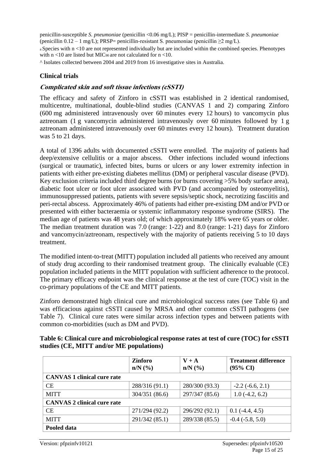penicillin-susceptible *S. pneumoniae* (penicillin <0.06 mg/L); PISP = penicillin-intermediate *S. pneumoniae*  (penicillin  $0.12 - 1$  mg/L); PRSP= penicillin-resistant S. pneumoniae (penicillin  $\geq 2$  mg/L). <sup>a</sup>Species with n <10 are not represented individually but are included within the combined species. Phenotypes with  $n < 10$  are listed but MIC<sub>90</sub> are not calculated for  $n < 10$ .

^ Isolates collected between 2004 and 2019 from 16 investigative sites in Australia.

#### **Clinical trials**

#### **Complicated skin and soft tissue infections (cSSTI)**

The efficacy and safety of Zinforo in cSSTI was established in 2 identical randomised, multicentre, multinational, double-blind studies (CANVAS 1 and 2) comparing Zinforo (600 mg administered intravenously over 60 minutes every 12 hours) to vancomycin plus aztreonam (1 g vancomycin administered intravenously over 60 minutes followed by 1 g aztreonam administered intravenously over 60 minutes every 12 hours). Treatment duration was 5 to 21 days.

A total of 1396 adults with documented cSSTI were enrolled. The majority of patients had deep/extensive cellulitis or a major abscess. Other infections included wound infections (surgical or traumatic), infected bites, burns or ulcers or any lower extremity infection in patients with either pre-existing diabetes mellitus (DM) or peripheral vascular disease (PVD). Key exclusion criteria included third degree burns (or burns covering >5% body surface area), diabetic foot ulcer or foot ulcer associated with PVD (and accompanied by osteomyelitis), immunosuppressed patients, patients with severe sepsis/septic shock, necrotizing fasciitis and peri-rectal abscess. Approximately 46% of patients had either pre-existing DM and/or PVD or presented with either bacteraemia or systemic inflammatory response syndrome (SIRS). The median age of patients was 48 years old; of which approximately 18% were 65 years or older. The median treatment duration was 7.0 (range: 1-22) and 8.0 (range: 1-21) days for Zinforo and vancomycin/aztreonam, respectively with the majority of patients receiving 5 to 10 days treatment.

The modified intent-to-treat (MITT) population included all patients who received any amount of study drug according to their randomised treatment group. The clinically evaluable (CE) population included patients in the MITT population with sufficient adherence to the protocol. The primary efficacy endpoint was the clinical response at the test of cure (TOC) visit in the co-primary populations of the CE and MITT patients.

Zinforo demonstrated high clinical cure and microbiological success rates (see Table 6) and was efficacious against cSSTI caused by MRSA and other common cSSTI pathogens (see Table 7). Clinical cure rates were similar across infection types and between patients with common co-morbidities (such as DM and PVD).

|                                    | Zinforo<br>$n/N$ (%) | $V + A$<br>$n/N$ (%) | <b>Treatment difference</b><br>$(95\% \text{ CI})$ |
|------------------------------------|----------------------|----------------------|----------------------------------------------------|
| <b>CANVAS 1 clinical cure rate</b> |                      |                      |                                                    |
| <b>CE</b>                          | 288/316 (91.1)       | 280/300 (93.3)       | $-2.2(-6.6, 2.1)$                                  |
| <b>MITT</b>                        | 304/351 (86.6)       | 297/347 (85.6)       | $1.0(-4.2, 6.2)$                                   |
| <b>CANVAS 2 clinical cure rate</b> |                      |                      |                                                    |
| <b>CE</b>                          | 271/294 (92.2)       | 296/292 (92.1)       | $0.1(-4.4, 4.5)$                                   |
| <b>MITT</b>                        | 291/342 (85.1)       | 289/338 (85.5)       | $-0.4$ $(-5.8, 5.0)$                               |
| Pooled data                        |                      |                      |                                                    |

#### **Table 6: Clinical cure and microbiological response rates at test of cure (TOC) for cSSTI studies (CE, MITT and/or ME populations)**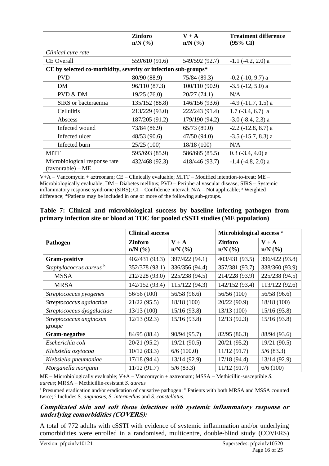|                                                                | <b>Zinforo</b><br>$n/N$ $(\%)$ | $V + A$<br>$n/N$ (%) | <b>Treatment difference</b><br>$(95\% \text{ CI})$ |
|----------------------------------------------------------------|--------------------------------|----------------------|----------------------------------------------------|
| Clinical cure rate                                             |                                |                      |                                                    |
| <b>CE</b> Overall                                              | 559/610 (91.6)                 | 549/592 (92.7)       | $-1.1$ $(-4.2, 2.0)$ a                             |
| CE by selected co-morbidity, severity or infection sub-groups* |                                |                      |                                                    |
| <b>PVD</b>                                                     | 80/90 (88.9)                   | 75/84 (89.3)         | $-0.2$ $(-10, 9.7)$ a                              |
| DM                                                             | 96/110 (87.3)                  | 100/110 (90.9)       | $-3.5$ $(-12, 5.0)$ a                              |
| PVD & DM                                                       | 19/25(76.0)                    | 20/27(74.1)          | N/A                                                |
| SIRS or bacteraemia                                            | 135/152 (88.8)                 | 146/156 (93.6)       | $-4.9$ $(-11.7, 1.5)$ a                            |
| <b>Cellulitis</b>                                              | 213/229 (93.0)                 | 222/243 (91.4)       | $1.7(-3.4, 6.7)$ a                                 |
| Abscess                                                        | 187/205 (91.2)                 | 179/190 (94.2)       | $-3.0$ $(-8.4, 2.3)$ a                             |
| Infected wound                                                 | 73/84 (86.9)                   | 65/73(89.0)          | $-2.2$ ( $-12.8$ , 8.7) a                          |
| Infected ulcer                                                 | 48/53 (90.6)                   | 47/50(94.0)          | $-3.5$ $(-15.7, 8.3)$ a                            |
| Infected burn                                                  | 25/25(100)                     | 18/18(100)           | N/A                                                |
| MITT                                                           | 595/693 (85.9)                 | 586/685 (85.5)       | $0.3$ (-3.4, 4.0) a                                |
| Microbiological response rate<br>$(favourable) - ME$           | 432/468 (92.3)                 | 418/446 (93.7)       | $-1.4$ ( $-4.8$ , 2.0) a                           |

V+A – Vancomycin + aztreonam; CE – Clinically evaluable; MITT – Modified intention-to-treat; ME – Microbiologically evaluable; DM – Diabetes mellitus; PVD – Peripheral vascular disease; SIRS – Systemic inflammatory response syndrome (SIRS); CI – Confidence interval; N/A – Not applicable; <sup>a</sup> Weighted difference; \*Patients may be included in one or more of the following sub-groups.

|  |  | Table 7: Clinical and microbiological success by baseline infecting pathogen from |  |  |  |
|--|--|-----------------------------------------------------------------------------------|--|--|--|
|  |  | primary infection site or blood at TOC for pooled cSSTI studies (ME population)   |  |  |  |

|                                    | <b>Clinical success</b>        |                         | Microbiological success <sup>a</sup> |                      |  |
|------------------------------------|--------------------------------|-------------------------|--------------------------------------|----------------------|--|
| Pathogen                           | <b>Zinforo</b><br>$n/N$ $(\%)$ | $V + A$<br>$n/N$ $(\%)$ | <b>Zinforo</b><br>$n/N$ $(\%)$       | $V + A$<br>$n/N$ (%) |  |
| <b>Gram-positive</b>               | 402/431 (93.3)                 | 397/422 (94.1)          | 403/431 (93.5)                       | 396/422 (93.8)       |  |
| Staphylococcus aureus <sup>b</sup> | 352/378 (93.1)                 | 336/356 (94.4)          | 357/381 (93.7)                       | 338/360 (93.9)       |  |
| <b>MSSA</b>                        | 212/228 (93.0)                 | 225/238 (94.5)          | 214/228 (93.9)                       | 225/238 (94.5)       |  |
| <b>MRSA</b>                        | 142/152 (93.4)                 | 115/122(94.3)           | 142/152 (93.4)                       | 113/122 (92.6)       |  |
| Streptococcus pyogenes             | 56/56 (100)                    | 56/58 (96.6)            | 56/56 (100)                          | 56/58 (96.6)         |  |
| Streptococcus agalactiae           | 21/22(95.5)                    | 18/18 (100)             | 20/22 (90.9)                         | 18/18 (100)          |  |
| Streptococcus dysgalactiae         | 13/13(100)                     | 15/16(93.8)             | 13/13(100)                           | 15/16(93.8)          |  |
| Streptococcus anginosus<br>groupc  | 12/13(92.3)                    | 15/16(93.8)             | 12/13(92.3)                          | 15/16(93.8)          |  |
| <b>Gram-negative</b>               | 84/95 (88.4)                   | 90/94 (95.7)            | 82/95 (86.3)                         | 88/94 (93.6)         |  |
| Escherichia coli                   | 20/21 (95.2)                   | 19/21 (90.5)            | 20/21 (95.2)                         | 19/21 (90.5)         |  |
| Klebsiella oxytocoa                | 10/12(83.3)                    | 6/6(100.0)              | 11/12(91.7)                          | 5/6(83.3)            |  |
| Klebsiella pneumoniae              | 17/18(94.4)                    | 13/14(92.9)             | 17/18(94.4)                          | 13/14(92.9)          |  |
| Morganella morganii                | 11/12(91.7)                    | 5/6(83.3)               | 11/12(91.7)                          | 6/6(100)             |  |

ME – Microbiologically evaluable; V+A – Vancomycin + aztreonam; MSSA – Methicillin-susceptible *S. aureus*; MRSA – Methicillin-resistant *S. aureus*

<sup>a</sup> Presumed eradication and/or eradication of causative pathogen; <sup>b</sup> Patients with both MRSA and MSSA counted twice; <sup>c</sup> Includes S. anginosus, S. intermedius and *S. constellatus*.

#### **Complicated skin and soft tissue infections with systemic inflammatory response or underlying comorbidities (COVERS):**

A total of 772 adults with cSSTI with evidence of systemic inflammation and/or underlying comorbidities were enrolled in a randomised, multicentre, double-blind study (COVERS)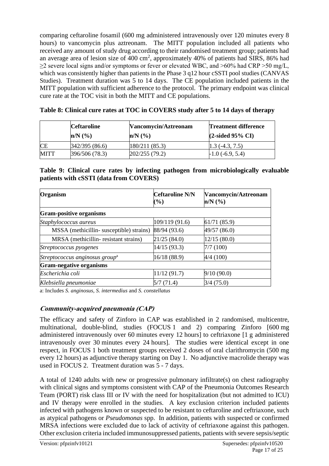comparing ceftaroline fosamil (600 mg administered intravenously over 120 minutes every 8 hours) to vancomycin plus aztreonam. The MITT population included all patients who received any amount of study drug according to their randomised treatment group; patients had an average area of lesion size of  $400 \text{ cm}^2$ , approximately  $40\%$  of patients had SIRS, 86% had  $\geq$ 2 severe local signs and/or symptoms or fever or elevated WBC, and  $>60\%$  had CRP  $>50$  mg/L, which was consistently higher than patients in the Phase 3 q12 hour cSSTI pool studies (CANVAS Studies). Treatment duration was 5 to 14 days. The CE population included patients in the MITT population with sufficient adherence to the protocol. The primary endpoint was clinical cure rate at the TOC visit in both the MITT and CE populations.

|             | <b>Ceftaroline</b><br>$n/N$ $\left(\frac{9}{6}\right)$ | Vancomycin/Aztreonam<br>$n/N$ $\left(\frac{9}{6}\right)$ | <b>Treatment difference</b><br>$(2$ -sided 95% CI |
|-------------|--------------------------------------------------------|----------------------------------------------------------|---------------------------------------------------|
| <b>CE</b>   | 342/395(86.6)                                          | 180/211(85.3)                                            | $1.3(-4.3, 7.5)$                                  |
| <b>MITT</b> | 396/506 (78.3)                                         | 202/255(79.2)                                            | $-1.0$ (-6.9, 5.4)                                |

**Table 8: Clinical cure rates at TOC in COVERS study after 5 to 14 days of therapy**

### **Table 9: Clinical cure rates by infecting pathogen from microbiologically evaluable patients with cSSTI (data from COVERS)**

| <b>Organism</b>                            | <b>Ceftaroline N/N</b><br>(%) | Vancomycin/Aztreonam<br>$n/N$ $(\%)$ |
|--------------------------------------------|-------------------------------|--------------------------------------|
| <b>Gram-positive organisms</b>             |                               |                                      |
| Staphylococcus aureus                      | 109/119 (91.6)                | 61/71(85.9)                          |
| MSSA (methicillin-susceptible) strains)    | 88/94 (93.6)                  | 49/57 (86.0)                         |
| MRSA (methicillin-resistant strains)       | 21/25(84.0)                   | 12/15(80.0)                          |
| Streptococcus pyogenes                     | 14/15(93.3)                   | 7/7(100)                             |
| Streptococcus anginosus group <sup>a</sup> | 16/18 (88.9)                  | 4/4 (100)                            |
| <b>Gram-negative organisms</b>             |                               |                                      |
| Escherichia coli                           | 11/12(91.7)                   | 9/10(90.0)                           |
| Klebsiella pneumoniae                      | 5/7(71.4)                     | 3/4(75.0)                            |

a: Includes *S. anginosus*, *S. intermedius* and *S. constellatus*

## **Community-acquired pneumonia (CAP)**

The efficacy and safety of Zinforo in CAP was established in 2 randomised, multicentre, multinational, double-blind, studies (FOCUS 1 and 2) comparing Zinforo [600 mg administered intravenously over 60 minutes every 12 hours] to ceftriaxone [1 g administered intravenously over 30 minutes every 24 hours]. The studies were identical except in one respect, in FOCUS 1 both treatment groups received 2 doses of oral clarithromycin (500 mg every 12 hours) as adjunctive therapy starting on Day 1. No adjunctive macrolide therapy was used in FOCUS 2. Treatment duration was 5 - 7 days.

A total of 1240 adults with new or progressive pulmonary infiltrate(s) on chest radiography with clinical signs and symptoms consistent with CAP of the Pneumonia Outcomes Research Team (PORT) risk class III or IV with the need for hospitalization (but not admitted to ICU) and IV therapy were enrolled in the studies. A key exclusion criterion included patients infected with pathogens known or suspected to be resistant to ceftaroline and ceftriaxone, such as atypical pathogens or *Pseudomonas* spp. In addition, patients with suspected or confirmed MRSA infections were excluded due to lack of activity of ceftriaxone against this pathogen. Other exclusion criteria included immunosuppressed patients, patients with severe sepsis/septic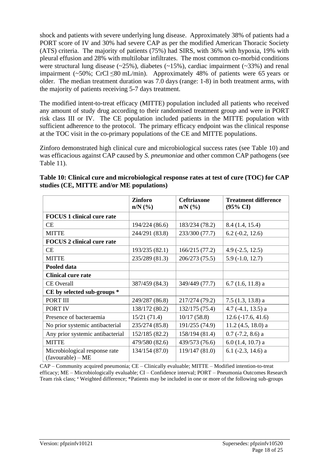shock and patients with severe underlying lung disease. Approximately 38% of patients had a PORT score of IV and 30% had severe CAP as per the modified American Thoracic Society (ATS) criteria. The majority of patients (75%) had SIRS, with 36% with hypoxia, 19% with pleural effusion and 28% with multilobar infiltrates. The most common co-morbid conditions were structural lung disease  $(\sim 25\%)$ , diabetes  $(\sim 15\%)$ , cardiac impairment  $(\sim 33\%)$  and renal impairment (~50%; CrCl  $\leq 80$  mL/min). Approximately 48% of patients were 65 years or older. The median treatment duration was 7.0 days (range: 1-8) in both treatment arms, with the majority of patients receiving 5-7 days treatment.

The modified intent-to-treat efficacy (MITTE) population included all patients who received any amount of study drug according to their randomised treatment group and were in PORT risk class III or IV. The CE population included patients in the MITTE population with sufficient adherence to the protocol. The primary efficacy endpoint was the clinical response at the TOC visit in the co-primary populations of the CE and MITTE populations.

Zinforo demonstrated high clinical cure and microbiological success rates (see Table 10) and was efficacious against CAP caused by *S. pneumoniae* and other common CAP pathogens (see Table 11).

|                                                      | <b>Zinforo</b><br>$n/N$ $(\%)$ | <b>Ceftriaxone</b><br>$n/N$ $(\%)$ | <b>Treatment difference</b><br>$(95\% \text{ CI})$ |
|------------------------------------------------------|--------------------------------|------------------------------------|----------------------------------------------------|
| <b>FOCUS 1 clinical cure rate</b>                    |                                |                                    |                                                    |
| CE                                                   | 194/224 (86.6)                 | 183/234 (78.2)                     | 8.4 (1.4, 15.4)                                    |
| <b>MITTE</b>                                         | 244/291 (83.8)                 | 233/300 (77.7)                     | $6.2$ ( $-0.2$ , 12.6)                             |
| <b>FOCUS 2 clinical cure rate</b>                    |                                |                                    |                                                    |
| CE                                                   | 193/235 (82.1)                 | 166/215 (77.2)                     | $4.9(-2.5, 12.5)$                                  |
| <b>MITTE</b>                                         | 235/289 (81.3)                 | 206/273 (75.5)                     | $5.9(-1.0, 12.7)$                                  |
| Pooled data                                          |                                |                                    |                                                    |
| <b>Clinical cure rate</b>                            |                                |                                    |                                                    |
| <b>CE</b> Overall                                    | 387/459 (84.3)                 | 349/449 (77.7)                     | $6.7(1.6, 11.8)$ a                                 |
| CE by selected sub-groups *                          |                                |                                    |                                                    |
| PORT III                                             | 249/287 (86.8)                 | 217/274 (79.2)                     | $7.5(1.3, 13.8)$ a                                 |
| PORT IV                                              | 138/172 (80.2)                 | 132/175 (75.4)                     | $4.7(-4.1, 13.5)$ a                                |
| Presence of bacteraemia                              | 15/21(71.4)                    | 10/17(58.8)                        | $12.6(-17.6, 41.6)$                                |
| No prior systemic antibacterial                      | 235/274 (85.8)                 | 191/255 (74.9)                     | $11.2$ (4.5, 18.0) a                               |
| Any prior systemic antibacterial                     | 152/185 (82.2)                 | 158/194 (81.4)                     | $0.7$ (-7.2, 8.6) a                                |
| <b>MITTE</b>                                         | 479/580 (82.6)                 | 439/573 (76.6)                     | $6.0$ (1.4, 10.7) a                                |
| Microbiological response rate<br>$(favourable) - ME$ | 134/154 (87.0)                 | 119/147 (81.0)                     | $6.1$ ( $-2.3$ , 14.6) a                           |

| Table 10: Clinical cure and microbiological response rates at test of cure (TOC) for CAP |
|------------------------------------------------------------------------------------------|
| studies (CE, MITTE and/or ME populations)                                                |

CAP – Community acquired pneumonia; CE – Clinically evaluable; MITTE – Modified intention-to-treat efficacy; ME – Microbiologically evaluable; CI – Confidence interval; PORT – Pneumonia Outcomes Research Team risk class; <sup>a</sup> Weighted difference; \*Patients may be included in one or more of the following sub-groups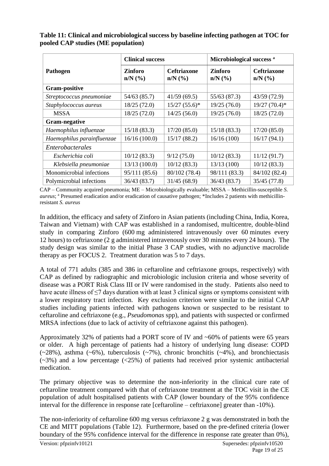|                            | <b>Clinical success</b> |                                    | Microbiological success <sup>a</sup> |                                    |
|----------------------------|-------------------------|------------------------------------|--------------------------------------|------------------------------------|
| Pathogen                   | Zinforo<br>$n/N$ $(\%)$ | <b>Ceftriaxone</b><br>$n/N$ $(\%)$ | <b>Zinforo</b><br>$n/N$ $(\%)$       | <b>Ceftriaxone</b><br>$n/N$ $(\%)$ |
| <b>Gram-positive</b>       |                         |                                    |                                      |                                    |
| Streptococcus pneumoniae   | 54/63 (85.7)            | 41/59(69.5)                        | 55/63 (87.3)                         | 43/59 (72.9)                       |
| Staphylococcus aureus      | 18/25(72.0)             | $15/27(55.6)^*$                    | 19/25(76.0)                          | $19/27$ (70.4)*                    |
| <b>MSSA</b>                | 18/25(72.0)             | 14/25(56.0)                        | 19/25 (76.0)                         | 18/25(72.0)                        |
| Gram-negative              |                         |                                    |                                      |                                    |
| Haemophilus influenzae     | 15/18(83.3)             | 17/20(85.0)                        | 15/18(83.3)                          | 17/20(85.0)                        |
| Haemophilus parainfluenzae | 16/16(100.0)            | 15/17(88.2)                        | 16/16(100)                           | 16/17(94.1)                        |
| Enterobacterales           |                         |                                    |                                      |                                    |
| Escherichia coli           | 10/12(83.3)             | 9/12(75.0)                         | 10/12(83.3)                          | 11/12(91.7)                        |
| Klebsiella pneumoniae      | 13/13(100.0)            | 10/12(83.3)                        | 13/13(100)                           | 10/12(83.3)                        |
| Monomicrobial infections   | 95/111 (85.6)           | 80/102 (78.4)                      | 98/111 (83.3)                        | 84/102 (82.4)                      |
| Polymicrobial infections   | 36/43 (83.7)            | 31/45(68.9)                        | 36/43 (83.7)                         | 35/45(77.8)                        |

**Table 11: Clinical and microbiological success by baseline infecting pathogen at TOC for pooled CAP studies (ME population)**

CAP – Community acquired pneumonia; ME – Microbiologically evaluable; MSSA – Methicillin-susceptible *S. aureus*; <sup>a</sup> Presumed eradication and/or eradication of causative pathogen; \*Includes 2 patients with methicillinresistant *S. aureus*

In addition, the efficacy and safety of Zinforo in Asian patients (including China, India, Korea, Taiwan and Vietnam) with CAP was established in a randomised, multicentre, double-blind study in comparing Zinforo (600 mg administered intravenously over 60 minutes every 12 hours) to ceftriaxone (2 g administered intravenously over 30 minutes every 24 hours). The study design was similar to the initial Phase 3 CAP studies, with no adjunctive macrolide therapy as per FOCUS 2. Treatment duration was 5 to 7 days.

A total of 771 adults (385 and 386 in ceftaroline and ceftriaxone groups, respectively) with CAP as defined by radiographic and microbiologic inclusion criteria and whose severity of disease was a PORT Risk Class III or IV were randomised in the study. Patients also need to have acute illness of  $\leq$ 7 days duration with at least 3 clinical signs or symptoms consistent with a lower respiratory tract infection. Key exclusion criterion were similar to the initial CAP studies including patients infected with pathogens known or suspected to be resistant to ceftaroline and ceftriaxone (e.g., *Pseudomonas* spp), and patients with suspected or confirmed MRSA infections (due to lack of activity of ceftriaxone against this pathogen).

Approximately 32% of patients had a PORT score of IV and ~60% of patients were 65 years or older. A high percentage of patients had a history of underlying lung disease: COPD  $(\sim 28\%)$ , asthma  $(\sim 6\%)$ , tuberculosis  $(\sim 7\%)$ , chronic bronchitis  $(\sim 4\%)$ , and bronchiectasis (~3%) and a low percentage (<25%) of patients had received prior systemic antibacterial medication.

The primary objective was to determine the non-inferiority in the clinical cure rate of ceftaroline treatment compared with that of ceftriaxone treatment at the TOC visit in the CE population of adult hospitalised patients with CAP (lower boundary of the 95% confidence interval for the difference in response rate [ceftaroline – ceftriaxone] greater than -10%).

The non-inferiority of ceftaroline 600 mg versus ceftriaxone 2 g was demonstrated in both the CE and MITT populations (Table 12). Furthermore, based on the pre-defined criteria (lower boundary of the 95% confidence interval for the difference in response rate greater than 0%),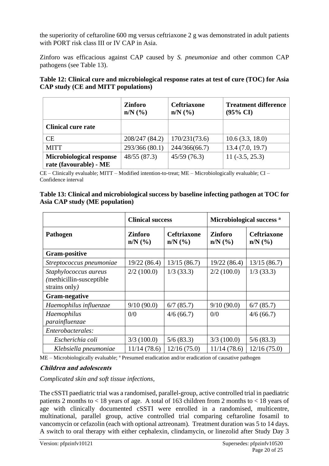the superiority of ceftaroline 600 mg versus ceftriaxone 2 g was demonstrated in adult patients with PORT risk class III or IV CAP in Asia.

Zinforo was efficacious against CAP caused by *S. pneumoniae* and other common CAP pathogens (see Table 13).

| Table 12: Clinical cure and microbiological response rates at test of cure (TOC) for Asia |  |
|-------------------------------------------------------------------------------------------|--|
| <b>CAP study (CE and MITT populations)</b>                                                |  |

|                                                           | <b>Zinforo</b><br>$n/N$ $(\%)$ | <b>Ceftriaxone</b><br>$n/N$ $(\%$ | <b>Treatment difference</b><br>$(95\% \text{ CI})$ |
|-----------------------------------------------------------|--------------------------------|-----------------------------------|----------------------------------------------------|
| <b>Clinical cure rate</b>                                 |                                |                                   |                                                    |
| CE                                                        | 208/247 (84.2)                 | 170/231(73.6)                     | 10.6(3.3, 18.0)                                    |
| <b>MITT</b>                                               | 293/366 (80.1)                 | 244/366(66.7)                     | 13.4(7.0, 19.7)                                    |
| <b>Microbiological response</b><br>rate (favourable) - ME | 48/55 (87.3)                   | 45/59(76.3)                       | $11(-3.5, 25.3)$                                   |

CE – Clinically evaluable; MITT – Modified intention-to-treat; ME – Microbiologically evaluable; CI – Confidence interval

|                                | Table 13: Clinical and microbiological success by baseline infecting pathogen at TOC for |
|--------------------------------|------------------------------------------------------------------------------------------|
| Asia CAP study (ME population) |                                                                                          |

|                                                                     | <b>Clinical success</b> |                                                        | Microbiological success <sup>a</sup>        |                                    |
|---------------------------------------------------------------------|-------------------------|--------------------------------------------------------|---------------------------------------------|------------------------------------|
| Pathogen                                                            | Zinforo<br>$n/N$ $(\%$  | <b>Ceftriaxone</b><br>$n/N$ $\left(\frac{9}{6}\right)$ | Zinforo<br>$n/N$ $\left(\frac{9}{6}\right)$ | <b>Ceftriaxone</b><br>$n/N$ $(\%)$ |
| <b>Gram-positive</b>                                                |                         |                                                        |                                             |                                    |
| Streptococcus pneumoniae                                            | 19/22(86.4)             | 13/15(86.7)                                            | 19/22(86.4)                                 | 13/15(86.7)                        |
| Staphylococcus aureus<br>(methicillin-susceptible)<br>strains only) | 2/2(100.0)              | $1/3$ (33.3)                                           | 2/2(100.0)                                  | $1/3$ (33.3)                       |
| <b>Gram-negative</b>                                                |                         |                                                        |                                             |                                    |
| Haemophilus influenzae                                              | 9/10(90.0)              | 6/7(85.7)                                              | 9/10(90.0)                                  | 6/7(85.7)                          |
| Haemophilus<br>parainfluenzae                                       | 0/0                     | 4/6(66.7)                                              | 0/0                                         | 4/6(66.7)                          |
| Enterobacterales:                                                   |                         |                                                        |                                             |                                    |
| Escherichia coli                                                    | 3/3(100.0)              | 5/6(83.3)                                              | 3/3(100.0)                                  | 5/6(83.3)                          |
| Klebsiella pneumoniae                                               | 11/14(78.6)             | 12/16(75.0)                                            | 11/14(78.6)                                 | 12/16(75.0)                        |

ME – Microbiologically evaluable; <sup>a</sup> Presumed eradication and/or eradication of causative pathogen

#### **Children and adolescents**

*Complicated skin and soft tissue infections,* 

The cSSTI paediatric trial was a randomised, parallel-group, active controlled trial in paediatric patients 2 months to < 18 years of age. A total of 163 children from 2 months to < 18 years of age with clinically documented cSSTI were enrolled in a randomised, multicentre, multinational, parallel group, active controlled trial comparing ceftaroline fosamil to vancomycin or cefazolin (each with optional aztreonam). Treatment duration was 5 to 14 days. A switch to oral therapy with either cephalexin, clindamycin, or linezolid after Study Day 3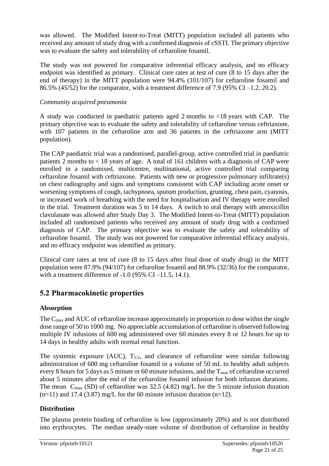was allowed. The Modified Intent-to-Treat (MITT) population included all patients who received any amount of study drug with a confirmed diagnosis of cSSTI. The primary objective was to evaluate the safety and tolerability of ceftaroline fosamil.

The study was not powered for comparative inferential efficacy analysis, and no efficacy endpoint was identified as primary. Clinical cure rates at test of cure (8 to 15 days after the end of therapy) in the MITT population were 94.4% (101/107) for ceftaroline fosamil and 86.5% (45/52) for the comparator, with a treatment difference of 7.9 (95% CI –1.2, 20.2).

#### *Community acquired pneumonia*

A study was conducted in paediatric patients aged 2 months to <18 years with CAP. The primary objective was to evaluate the safety and tolerability of ceftaroline versus ceftriaxone, with 107 patients in the ceftaroline arm and 36 patients in the ceftriaxone arm (MITT population).

The CAP paediatric trial was a randomised, parallel-group, active controlled trial in paediatric patients 2 months to < 18 years of age. A total of 161 children with a diagnosis of CAP were enrolled in a randomised, multicentre, multinational, active controlled trial comparing ceftaroline fosamil with ceftriaxone. Patients with new or progressive pulmonary infiltrate(s) on chest radiography and signs and symptoms consistent with CAP including acute onset or worsening symptoms of cough, tachypnoea, sputum production, grunting, chest pain, cyanosis, or increased work of breathing with the need for hospitalisation and IV therapy were enrolled in the trial. Treatment duration was 5 to 14 days. A switch to oral therapy with amoxicillin clavulanate was allowed after Study Day 3. The Modified Intent-to-Treat (MITT) population included all randomised patients who received any amount of study drug with a confirmed diagnosis of CAP. The primary objective was to evaluate the safety and tolerability of ceftaroline fosamil. The study was not powered for comparative inferential efficacy analysis, and no efficacy endpoint was identified as primary.

Clinical cure rates at test of cure (8 to 15 days after final dose of study drug) in the MITT population were 87.9% (94/107) for ceftaroline fosamil and 88.9% (32/36) for the comparator, with a treatment difference of  $-1.0$  (95% CI $-11.5$ , 14.1).

## **5.2 Pharmacokinetic properties**

## **Absorption**

The C<sub>max</sub> and AUC of ceftaroline increase approximately in proportion to dose within the single dose range of 50 to 1000 mg. No appreciable accumulation of ceftaroline is observed following multiple IV infusions of 600 mg administered over 60 minutes every 8 or 12 hours for up to 14 days in healthy adults with normal renal function.

The systemic exposure (AUC),  $T_{1/2}$ , and clearance of ceftaroline were similar following administration of 600 mg ceftaroline fosamil in a volume of 50 mL to healthy adult subjects every 8 hours for 5 days as 5 minute or 60 minute infusions, and the  $T_{\text{max}}$  of ceftaroline occurred about 5 minutes after the end of the ceftaroline fosamil infusion for both infusion durations. The mean  $C_{\text{max}}$  (SD) of ceftaroline was 32.5 (4.82) mg/L for the 5 minute infusion duration  $(n=11)$  and 17.4 (3.87) mg/L for the 60 minute infusion duration  $(n=12)$ .

## **Distribution**

The plasma protein binding of ceftaroline is low (approximately 20%) and is not distributed into erythrocytes. The median steady-state volume of distribution of ceftaroline in healthy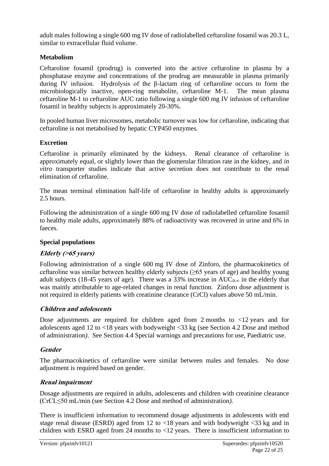adult males following a single 600 mg IV dose of radiolabelled ceftaroline fosamil was 20.3 L, similar to extracellular fluid volume.

## **Metabolism**

Ceftaroline fosamil (prodrug) is converted into the active ceftaroline in plasma by a phosphatase enzyme and concentrations of the prodrug are measurable in plasma primarily during IV infusion. Hydrolysis of the β-lactam ring of ceftaroline occurs to form the microbiologically inactive, open-ring metabolite, ceftaroline M-1. The mean plasma ceftaroline M-1 to ceftaroline AUC ratio following a single 600 mg IV infusion of ceftaroline fosamil in healthy subjects is approximately 20-30%.

In pooled human liver microsomes, metabolic turnover was low for ceftaroline, indicating that ceftaroline is not metabolised by hepatic CYP450 enzymes.

## **Excretion**

Ceftaroline is primarily eliminated by the kidneys. Renal clearance of ceftaroline is approximately equal, or slightly lower than the glomerular filtration rate in the kidney, and *in vitro* transporter studies indicate that active secretion does not contribute to the renal elimination of ceftaroline.

The mean terminal elimination half-life of ceftaroline in healthy adults is approximately 2.5 hours.

Following the administration of a single 600 mg IV dose of radiolabelled ceftaroline fosamil to healthy male adults, approximately 88% of radioactivity was recovered in urine and 6% in faeces.

## **Special populations**

## **Elderly (>65 years)**

Following administration of a single 600 mg IV dose of Zinforo, the pharmacokinetics of ceftaroline was similar between healthy elderly subjects (≥65 years of age) and healthy young adult subjects (18-45 years of age). There was a 33% increase in  $AUC_{0-\infty}$  in the elderly that was mainly attributable to age-related changes in renal function. Zinforo dose adjustment is not required in elderly patients with creatinine clearance (CrCl) values above 50 mL/min.

## **Children and adolescents**

Dose adjustments are required for children aged from 2 months to  $\langle 12 \rangle$  years and for adolescents aged 12 to <18 years with bodyweight <33 kg (see Section 4.2 Dose and method of administration*)*. See Section 4.4 Special warnings and precautions for use, Paediatric use.

## **Gender**

The pharmacokinetics of ceftaroline were similar between males and females. No dose adjustment is required based on gender.

## **Renal impairment**

Dosage adjustments are required in adults, adolescents and children with creatinine clearance (CrCL≤50 mL/min (see Section 4.2 Dose and method of administration*)*.

There is insufficient information to recommend dosage adjustments in adolescents with end stage renal disease (ESRD) aged from 12 to <18 years and with bodyweight <33 kg and in children with ESRD aged from 24 months to <12 years. There is insufficient information to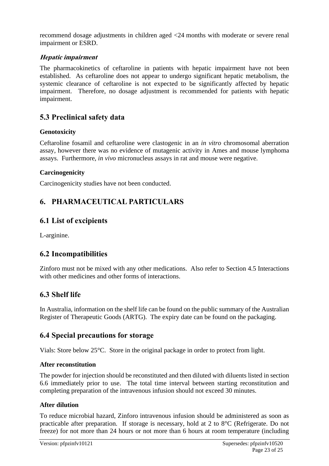recommend dosage adjustments in children aged <24 months with moderate or severe renal impairment or ESRD.

### **Hepatic impairment**

The pharmacokinetics of ceftaroline in patients with hepatic impairment have not been established. As ceftaroline does not appear to undergo significant hepatic metabolism, the systemic clearance of ceftaroline is not expected to be significantly affected by hepatic impairment. Therefore, no dosage adjustment is recommended for patients with hepatic impairment.

## **5.3 Preclinical safety data**

## **Genotoxicity**

Ceftaroline fosamil and ceftaroline were clastogenic in an *in vitro* chromosomal aberration assay, however there was no evidence of mutagenic activity in Ames and mouse lymphoma assays. Furthermore, *in vivo* micronucleus assays in rat and mouse were negative.

#### **Carcinogenicity**

Carcinogenicity studies have not been conducted.

## **6. PHARMACEUTICAL PARTICULARS**

## **6.1 List of excipients**

L-arginine.

## **6.2 Incompatibilities**

Zinforo must not be mixed with any other medications. Also refer to Section 4.5 Interactions with other medicines and other forms of interactions.

## **6.3 Shelf life**

In Australia, information on the shelf life can be found on the public summary of the Australian Register of Therapeutic Goods (ARTG). The expiry date can be found on the packaging.

## **6.4 Special precautions for storage**

Vials: Store below 25°C. Store in the original package in order to protect from light.

#### **After reconstitution**

The powder for injection should be reconstituted and then diluted with diluents listed in section 6.6 immediately prior to use. The total time interval between starting reconstitution and completing preparation of the intravenous infusion should not exceed 30 minutes.

## **After dilution**

To reduce microbial hazard, Zinforo intravenous infusion should be administered as soon as practicable after preparation. If storage is necessary, hold at 2 to 8°C (Refrigerate. Do not freeze) for not more than 24 hours or not more than 6 hours at room temperature (including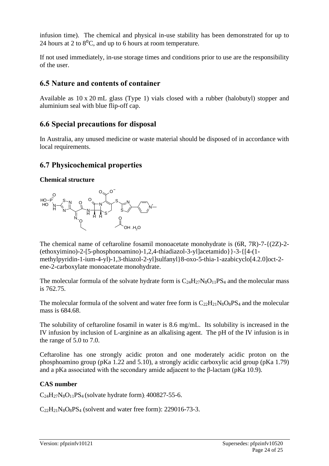infusion time). The chemical and physical in-use stability has been demonstrated for up to 24 hours at 2 to  $8^{\circ}$ C, and up to 6 hours at room temperature.

If not used immediately, in-use storage times and conditions prior to use are the responsibility of the user.

## **6.5 Nature and contents of container**

Available as 10 x 20 mL glass (Type 1) vials closed with a rubber (halobutyl) stopper and aluminium seal with blue flip-off cap.

## **6.6 Special precautions for disposal**

In Australia, any unused medicine or waste material should be disposed of in accordance with local requirements.

## **6.7 Physicochemical properties**

### **Chemical structure**



The chemical name of ceftaroline fosamil monoacetate monohydrate is  $(6R, 7R)$ -7- $\{(2Z)$ -2-(ethoxyimino)-2-[5-phosphonoamino)-1,2,4-thiadiazol-3-yl]acetamido}}-3-{[4-(1 methylpyridin-1-ium-4-yl)-1,3-thiazol-2-yl]sulfanyl}8-oxo-5-thia-1-azabicyclo[4.2.0]oct-2 ene-2-carboxylate monoacetate monohydrate.

The molecular formula of the solvate hydrate form is  $C_{24}H_{27}N_8O_{11}PS_4$  and the molecular mass is 762.75.

The molecular formula of the solvent and water free form is  $C_{22}H_{21}N_8O_8PS_4$  and the molecular mass is 684.68.

The solubility of ceftaroline fosamil in water is 8.6 mg/mL. Its solubility is increased in the IV infusion by inclusion of L-arginine as an alkalising agent. The pH of the IV infusion is in the range of 5.0 to 7.0.

Ceftaroline has one strongly acidic proton and one moderately acidic proton on the phosphoamino group (pKa 1.22 and 5.10), a strongly acidic carboxylic acid group (pKa 1.79) and a pKa associated with the secondary amide adjacent to the β-lactam (pKa 10.9).

## **CAS number**

 $C_{24}H_{27}N_8O_{11}PS_4$  (solvate hydrate form): 400827-55-6.

 $C_{22}H_{21}N_8O_8PS_4$  (solvent and water free form): 229016-73-3.